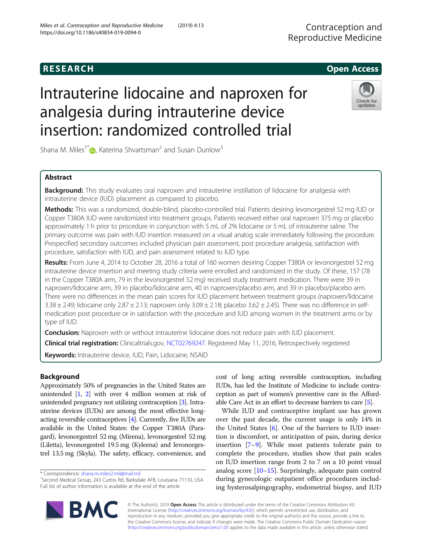# R E S EAR CH Open Access

# Intrauterine lidocaine and naproxen for analgesia during intrauterine device insertion: randomized controlled trial



Shana M. Miles<sup>1\*</sup> $\bullet$ [,](http://orcid.org/0000-0003-3194-3338) Katerina Shvartsman<sup>2</sup> and Susan Dunlow<sup>3</sup>

# Abstract

**Background:** This study evaluates oral naproxen and intrauterine instillation of lidocaine for analgesia with intrauterine device (IUD) placement as compared to placebo.

Methods: This was a randomized, double-blind, placebo-controlled trial. Patients desiring levonorgestrel 52 mg IUD or Copper T380A IUD were randomized into treatment groups. Patients received either oral naproxen 375 mg or placebo approximately 1 h prior to procedure in conjunction with 5 mL of 2% lidocaine or 5 mL of intrauterine saline. The primary outcome was pain with IUD insertion measured on a visual analog scale immediately following the procedure. Prespecified secondary outcomes included physician pain assessment, post procedure analgesia, satisfaction with procedure, satisfaction with IUD, and pain assessment related to IUD type.

Results: From June 4, 2014 to October 28, 2016 a total of 160 women desiring Copper T380A or levonorgestrel 52 mg intrauterine device insertion and meeting study criteria were enrolled and randomized in the study. Of these, 157 (78 in the Copper T380A arm, 79 in the levonorgestrel 52 mg) received study treatment medication. There were 39 in naproxen/lidocaine arm, 39 in placebo/lidocaine arm, 40 in naproxen/placebo arm, and 39 in placebo/placebo arm. There were no differences in the mean pain scores for IUD placement between treatment groups (naproxen/lidocaine  $3.38 \pm 2.49$ ; lidocaine only  $2.87 \pm 2.13$ ; naproxen only  $3.09 \pm 2.18$ ; placebo  $3.62 \pm 2.45$ ). There was no difference in selfmedication post procedure or in satisfaction with the procedure and IUD among women in the treatment arms or by type of IUD.

**Conclusion:** Naproxen with or without intrauterine lidocaine does not reduce pain with IUD placement.

Clinical trial registration: Clinicaltrials.gov, [NCT02769247](https://clinicaltrials.gov/ct2/show/NCT02769247?term=NCT02769247&rank=1). Registered May 11, 2016, Retrospectively registered

Keywords: Intrauterine device, IUD, Pain, Lidocaine, NSAID

# Background

Approximately 50% of pregnancies in the United States are unintended [\[1,](#page-5-0) [2](#page-5-0)] with over 4 million women at risk of unintended pregnancy not utilizing contraception [[3\]](#page-5-0). Intrauterine devices (IUDs) are among the most effective longacting reversible contraceptives [\[4](#page-5-0)]. Currently, five IUDs are available in the United States: the Copper T380A (Paragard), levonorgestrel 52 mg (Mirena), levonorgestrel 52 mg (Liletta), levonorgestrel 19.5 mg (Kyleena) and levonorgestrel 13.5 mg (Skyla). The safety, efficacy, convenience, and

cost of long acting reversible contraception, including IUDs, has led the Institute of Medicine to include contraception as part of women's preventive care in the Affordable Care Act in an effort to decrease barriers to care [[5](#page-5-0)].

While IUD and contraceptive implant use has grown over the past decade, the current usage is only 14% in the United States [[6\]](#page-5-0). One of the barriers to IUD insertion is discomfort, or anticipation of pain, during device insertion [[7](#page-5-0)–[9](#page-5-0)]. While most patients tolerate pain to complete the procedure, studies show that pain scales on IUD insertion range from 2 to 7 on a 10 point visual analog score [[10](#page-5-0)–[15](#page-6-0)]. Surprisingly, adequate pain control during gynecologic outpatient office procedures including hysterosalpingography, endometrial biopsy, and IUD



© The Author(s). 2019 Open Access This article is distributed under the terms of the Creative Commons Attribution 4.0 International License [\(http://creativecommons.org/licenses/by/4.0/](http://creativecommons.org/licenses/by/4.0/)), which permits unrestricted use, distribution, and reproduction in any medium, provided you give appropriate credit to the original author(s) and the source, provide a link to the Creative Commons license, and indicate if changes were made. The Creative Commons Public Domain Dedication waiver [\(http://creativecommons.org/publicdomain/zero/1.0/](http://creativecommons.org/publicdomain/zero/1.0/)) applies to the data made available in this article, unless otherwise stated.

<sup>\*</sup> Correspondence: [shana.m.miles2.mil@mail.mil](mailto:shana.m.miles2.mil@mail.mil) <sup>1</sup>

<sup>&</sup>lt;sup>1</sup>Second Medical Group, 243 Curtiss Rd, Barksdale AFB, Louisiana 71110, USA Full list of author information is available at the end of the article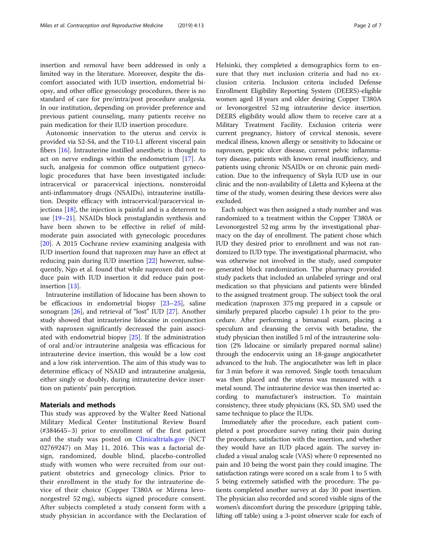insertion and removal have been addressed in only a limited way in the literature. Moreover, despite the discomfort associated with IUD insertion, endometrial biopsy, and other office gynecology procedures, there is no standard of care for pre/intra/post procedure analgesia. In our institution, depending on provider preference and previous patient counseling, many patients receive no pain medication for their IUD insertion procedure.

Autonomic innervation to the uterus and cervix is provided via S2-S4, and the T10-L1 afferent visceral pain fibers [[16\]](#page-6-0). Intrauterine instilled anesthetic is thought to act on nerve endings within the endometrium [\[17](#page-6-0)]. As such, analgesia for common office outpatient gynecologic procedures that have been investigated include: intracervical or paracervical injections, nonsteroidal anti-inflammatory drugs (NSAIDs), intrauterine instillation. Despite efficacy with intracervical/paracervical injections  $[18]$  $[18]$ , the injection is painful and is a deterrent to use [\[19](#page-6-0)–[21\]](#page-6-0). NSAIDs block prostaglandin synthesis and have been shown to be effective in relief of mildmoderate pain associated with gynecologic procedures [[20\]](#page-6-0). A 2015 Cochrane review examining analgesia with IUD insertion found that naproxen may have an effect at reducing pain during IUD insertion [\[22](#page-6-0)] however, subsequently, Ngo et al. found that while naproxen did not reduce pain with IUD insertion it did reduce pain postinsertion [[13\]](#page-6-0).

Intrauterine instillation of lidocaine has been shown to be efficacious in endometrial biopsy [[23](#page-6-0)–[25](#page-6-0)], saline sonogram [[26](#page-6-0)], and retrieval of "lost" IUD [[27\]](#page-6-0). Another study showed that intrauterine lidocaine in conjunction with naproxen significantly decreased the pain associated with endometrial biopsy [\[25](#page-6-0)]. If the administration of oral and/or intrauterine analgesia was efficacious for intrauterine device insertion, this would be a low cost and a low risk intervention. The aim of this study was to determine efficacy of NSAID and intrauterine analgesia, either singly or doubly, during intrauterine device insertion on patients' pain perception.

## Materials and methods

This study was approved by the Walter Reed National Military Medical Center Institutional Review Board (#384645–3) prior to enrollment of the first patient and the study was posted on [Clinicaltrials.gov](http://clinicaltrials.gov) (NCT 02769247) on May 11, 2016. This was a factorial design, randomized, double blind, placebo-controlled study with women who were recruited from our outpatient obstetrics and gynecology clinics. Prior to their enrollment in the study for the intrauterine device of their choice (Copper T380A or Mirena levonorgestrel 52 mg), subjects signed procedure consent. After subjects completed a study consent form with a study physician in accordance with the Declaration of Helsinki, they completed a demographics form to ensure that they met inclusion criteria and had no exclusion criteria. Inclusion criteria included Defense Enrollment Eligibility Reporting System (DEERS)-eligible women aged 18 years and older desiring Copper T380A or levonorgestrel 52 mg intrauterine device insertion. DEERS eligibility would allow them to receive care at a Military Treatment Facility. Exclusion criteria were current pregnancy, history of cervical stenosis, severe medical illness, known allergy or sensitivity to lidocaine or naproxen, peptic ulcer disease, current pelvic inflammatory disease, patients with known renal insufficiency, and patients using chronic NSAIDs or on chronic pain medication. Due to the infrequency of Skyla IUD use in our clinic and the non-availability of Liletta and Kyleena at the time of the study, women desiring these devices were also excluded.

Each subject was then assigned a study number and was randomized to a treatment within the Copper T380A or Levonorgestrel 52 mg arms by the investigational pharmacy on the day of enrollment. The patient chose which IUD they desired prior to enrollment and was not randomized to IUD type. The investigational pharmacist, who was otherwise not involved in the study, used computer generated block randomization. The pharmacy provided study packets that included an unlabeled syringe and oral medication so that physicians and patients were blinded to the assigned treatment group. The subject took the oral medication (naproxen 375 mg prepared in a capsule or similarly prepared placebo capsule) 1 h prior to the procedure. After performing a bimanual exam, placing a speculum and cleansing the cervix with betadine, the study physician then instilled 5 ml of the intrauterine solution (2% lidocaine or similarly prepared normal saline) through the endocervix using an 18-gauge angiocatheter advanced to the hub. The angiocatheter was left in place for 3 min before it was removed. Single tooth tenaculum was then placed and the uterus was measured with a metal sound. The intrauterine device was then inserted according to manufacturer's instruction. To maintain consistency, three study physicians (KS, SD, SM) used the same technique to place the IUDs.

Immediately after the procedure, each patient completed a post procedure survey rating their pain during the procedure, satisfaction with the insertion, and whether they would have an IUD placed again. The survey included a visual analog scale (VAS) where 0 represented no pain and 10 being the worst pain they could imagine. The satisfaction ratings were scored on a scale from 1 to 5 with 5 being extremely satisfied with the procedure. The patients completed another survey at day 30 post insertion. The physician also recorded and scored visible signs of the women's discomfort during the procedure (gripping table, lifting off table) using a 3-point observer scale for each of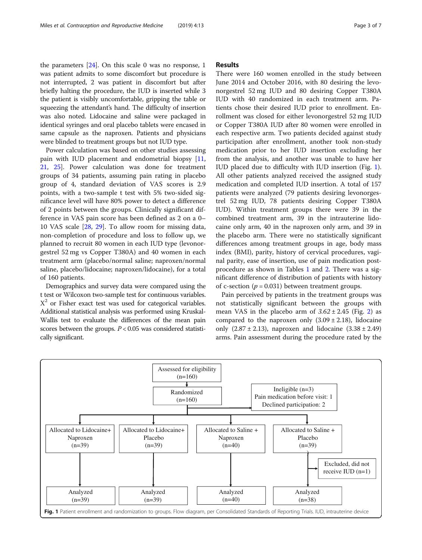the parameters [[24\]](#page-6-0). On this scale 0 was no response, 1 was patient admits to some discomfort but procedure is not interrupted, 2 was patient in discomfort but after briefly halting the procedure, the IUD is inserted while 3 the patient is visibly uncomfortable, gripping the table or squeezing the attendant's hand. The difficulty of insertion was also noted. Lidocaine and saline were packaged in identical syringes and oral placebo tablets were encased in same capsule as the naproxen. Patients and physicians were blinded to treatment groups but not IUD type.

Power calculation was based on other studies assessing pain with IUD placement and endometrial biopsy [[11](#page-5-0), [21,](#page-6-0) [25\]](#page-6-0). Power calculation was done for treatment groups of 34 patients, assuming pain rating in placebo group of 4, standard deviation of VAS scores is 2.9 points, with a two-sample t test with 5% two-sided significance level will have 80% power to detect a difference of 2 points between the groups. Clinically significant difference in VAS pain score has been defined as 2 on a 0– 10 VAS scale [[28,](#page-6-0) [29\]](#page-6-0). To allow room for missing data, non-completion of procedure and loss to follow up, we planned to recruit 80 women in each IUD type (levonorgestrel 52 mg vs Copper T380A) and 40 women in each treatment arm (placebo/normal saline; naproxen/normal saline, placebo/lidocaine; naproxen/lidocaine), for a total of 160 patients.

Demographics and survey data were compared using the t test or Wilcoxon two-sample test for continuous variables.  $X<sup>2</sup>$  or Fisher exact test was used for categorical variables. Additional statistical analysis was performed using Kruskal-Wallis test to evaluate the differences of the mean pain scores between the groups.  $P < 0.05$  was considered statistically significant.

## Results

There were 160 women enrolled in the study between June 2014 and October 2016, with 80 desiring the levonorgestrel 52 mg IUD and 80 desiring Copper T380A IUD with 40 randomized in each treatment arm. Patients chose their desired IUD prior to enrollment. Enrollment was closed for either levonorgestrel 52 mg IUD or Copper T380A IUD after 80 women were enrolled in each respective arm. Two patients decided against study participation after enrollment, another took non-study medication prior to her IUD insertion excluding her from the analysis, and another was unable to have her IUD placed due to difficulty with IUD insertion (Fig. 1). All other patients analyzed received the assigned study medication and completed IUD insertion. A total of 157 patients were analyzed (79 patients desiring levonorgestrel 52 mg IUD, 78 patients desiring Copper T380A IUD). Within treatment groups there were 39 in the combined treatment arm, 39 in the intrauterine lidocaine only arm, 40 in the naproxen only arm, and 39 in the placebo arm. There were no statistically significant differences among treatment groups in age, body mass index (BMI), parity, history of cervical procedures, vaginal parity, ease of insertion, use of pain medication postprocedure as shown in Tables [1](#page-3-0) and [2.](#page-3-0) There was a significant difference of distribution of patients with history of c-section ( $p = 0.031$ ) between treatment groups.

Pain perceived by patients in the treatment groups was not statistically significant between the groups with mean VAS in the placebo arm of  $3.62 \pm 2.45$  $3.62 \pm 2.45$  $3.62 \pm 2.45$  (Fig. 2) as compared to the naproxen only  $(3.09 \pm 2.18)$ , lidocaine only  $(2.87 \pm 2.13)$ , naproxen and lidocaine  $(3.38 \pm 2.49)$ arms. Pain assessment during the procedure rated by the

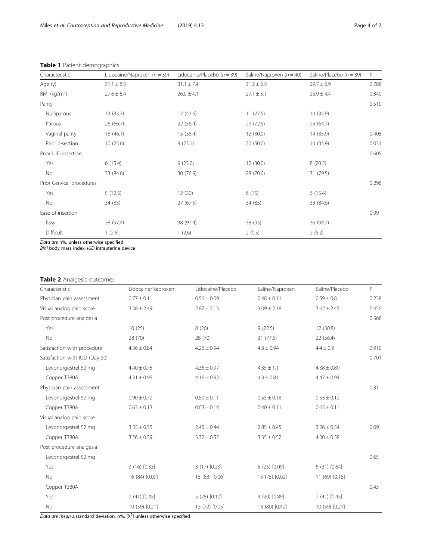| Characteristic            | Lidocaine/Naproxen $(n = 39)$ | Lidocaine/Placebo ( $n = 39$ ) | Saline/Naproxen $(n = 40)$ | Saline/Placebo $(n = 39)$ | P     |
|---------------------------|-------------------------------|--------------------------------|----------------------------|---------------------------|-------|
| Age (y)                   | $31.1 \pm 8.5$                | $31.1 \pm 7.4$                 | $31.2 \pm 6.5$             | $29.7 \pm 6.9$            | 0.788 |
| BMI ( $kg/m2$ )           | $27.6 \pm 6.4$                | $26.0 \pm 4.1$                 | $27.1 \pm 5.1$             | $25.9 \pm 4.4$            | 0.340 |
| Parity                    |                               |                                |                            |                           | 0.510 |
| Nulliparous               | 13(33.3)                      | 17(43.6)                       | 11(27.5)                   | 14 (35.9)                 |       |
| Parous                    | 26 (66.7)                     | 22 (56.4)                      | 29 (72.5)                  | 25(64.1)                  |       |
| Vaginal parity            | 18(46.1)                      | 15 (38.4)                      | 12 (30.0)                  | 14 (35.9)                 | 0.408 |
| Prior c-section           | 10(25.6)                      | 9(23.1)                        | 20(50.0)                   | 14 (35.9)                 | 0.031 |
| Prior IUD insertion       |                               |                                |                            |                           | 0.605 |
| Yes                       | 6(15.4)                       | 9(23.0)                        | 12(30.0)                   | 8(20.5)                   |       |
| No                        | 33 (84.6)                     | 30 (76.9)                      | 28 (70.0)                  | 31 (79.5)                 |       |
| Prior Cervical procedures |                               |                                |                            |                           |       |
| Yes                       | 5(12.5)                       | 12(30)                         | 6(15)                      | 6(15.4)                   |       |
| No                        | 34 (85)                       | 27(67.5)                       | 34 (85)                    | 33 (84.6)                 |       |
| Ease of insertion         |                               |                                |                            |                           | 0.99  |
| Easy                      | 38 (97.4)                     | 38 (97.4)                      | 38 (95)                    | 36 (94.7)                 |       |
| Difficult                 | 1(2.6)                        | 1(2.6)                         | 2(0.5)                     | 2(5.2)                    |       |

# <span id="page-3-0"></span>Table 1 Patient demographics

Data are n%, unless otherwise specified

BMI body mass index, IUD intrauterine device

# Table 2 Analgesic outcomes

| Characteristic                 | Lidocaine/Naproxen | Lidocaine/Placebo | Saline/Naproxen | Saline/Placebo  | P     |
|--------------------------------|--------------------|-------------------|-----------------|-----------------|-------|
| Physician pain assessment      | $0.77 \pm 0.11$    | $0.56 \pm 0.09$   | $0.48 \pm 0.11$ | $0.59 \pm 0.8$  | 0.238 |
| Visual analog pain score       | $3.38 \pm 2.49$    | $2.87 \pm 2.13$   | $3.09 \pm 2.18$ | $3.62 \pm 2.45$ | 0.456 |
| Post procedure analgesia       |                    |                   |                 |                 | 0.568 |
| Yes                            | 10(25)             | 8(20)             | 9(22.5)         | 12 (30.8)       |       |
| No                             | 28 (70)            | 28 (70)           | 31(77.5)        | 22 (56.4)       |       |
| Satisfaction with procedure    | $4.36 \pm 0.84$    | $4.26 \pm 0.94$   | $4.3 \pm 0.94$  | $4.4 \pm 0.9$   | 0.910 |
| Satisfaction with IUD (Day 30) |                    |                   |                 |                 |       |
| Levonorgestrel 52 mg           | $4.40 \pm 0.75$    | $4.36 \pm 0.97$   | $4.35 \pm 1.1$  | $4.38 \pm 0.89$ |       |
| Copper T380A                   | $4.31 \pm 0.95$    | $4.16 \pm 0.92$   | $4.3 \pm 0.81$  | $4.47 \pm 0.94$ |       |
| Physician pain assessment      |                    |                   |                 |                 | 0.31  |
| Levonorgestrel 52 mg           | $0.90 \pm 0.72$    | $0.50 \pm 0.11$   | $0.55 \pm 0.18$ | $0.53 \pm 0.12$ |       |
| Copper T380A                   | $0.63 \pm 0.13$    | $0.63 \pm 0.14$   | $0.40 \pm 0.11$ | $0.63 \pm 0.11$ |       |
| Visual analog pain score       |                    |                   |                 |                 |       |
| Levonorgestrel 52 mg           | $3.55 \pm 0.55$    | $2.45 \pm 0.44$   | $2.85 \pm 0.45$ | $3.26 \pm 0.54$ | 0.09  |
| Copper T380A                   | $3.26 \pm 0.59$    | $3.32 \pm 0.52$   | $3.35 \pm 0.52$ | $4.00 \pm 0.58$ |       |
| Post procedure analgesia       |                    |                   |                 |                 |       |
| Levonorgestrel 52 mg           |                    |                   |                 |                 | 0.65  |
| Yes                            | 3(16)[0.33]        | $3(17)$ [0.23]    | 5(25)[0.09]     | 5(31)[0.64]     |       |
| <b>No</b>                      | 16 (84) [0.09]     | 15 (83) [0.06]    | 15 (75) [0.02]  | 11 (69) [0.18]  |       |
| Copper T380A                   |                    |                   |                 |                 | 0.43  |
| Yes                            | $7(41)$ [0.45]     | 5(28)[0.10]       | 4 (20) [0.89]   | $7(41)$ [0.45]  |       |
| No                             | 10 (59) [0.21]     | 13 (72) [0.05]    | 16 (80) [0.42]  | 10 (59) [0.21]  |       |

Data are mean  $\pm$  standard deviation, n%, [X<sup>2</sup>] unless otherwise specified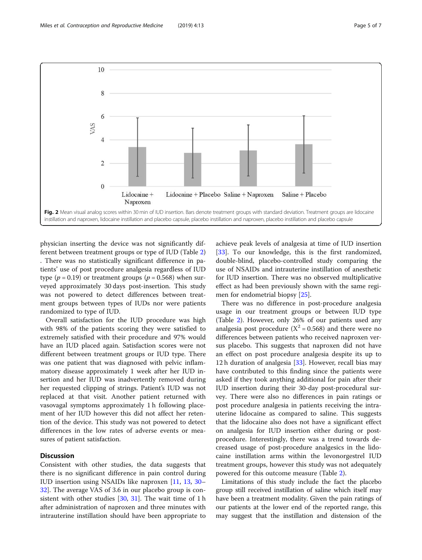<span id="page-4-0"></span>

physician inserting the device was not significantly different between treatment groups or type of IUD (Table [2](#page-3-0)) . There was no statistically significant difference in patients' use of post procedure analgesia regardless of IUD type ( $p = 0.19$ ) or treatment groups ( $p = 0.568$ ) when surveyed approximately 30 days post-insertion. This study was not powered to detect differences between treatment groups between types of IUDs nor were patients randomized to type of IUD.

Overall satisfaction for the IUD procedure was high with 98% of the patients scoring they were satisfied to extremely satisfied with their procedure and 97% would have an IUD placed again. Satisfaction scores were not different between treatment groups or IUD type. There was one patient that was diagnosed with pelvic inflammatory disease approximately 1 week after her IUD insertion and her IUD was inadvertently removed during her requested clipping of strings. Patient's IUD was not replaced at that visit. Another patient returned with vasovagal symptoms approximately 1 h following placement of her IUD however this did not affect her retention of the device. This study was not powered to detect differences in the low rates of adverse events or measures of patient satisfaction.

# Discussion

Consistent with other studies, the data suggests that there is no significant difference in pain control during IUD insertion using NSAIDs like naproxen [[11](#page-5-0), [13](#page-6-0), [30](#page-6-0)– [32\]](#page-6-0). The average VAS of 3.6 in our placebo group is consistent with other studies  $[30, 31]$  $[30, 31]$  $[30, 31]$ . The wait time of 1 h after administration of naproxen and three minutes with intrauterine instillation should have been appropriate to

achieve peak levels of analgesia at time of IUD insertion [[33\]](#page-6-0). To our knowledge, this is the first randomized, double-blind, placebo-controlled study comparing the use of NSAIDs and intrauterine instillation of anesthetic for IUD insertion. There was no observed multiplicative effect as had been previously shown with the same regimen for endometrial biopsy [[25](#page-6-0)].

There was no difference in post-procedure analgesia usage in our treatment groups or between IUD type (Table [2](#page-3-0)). However, only 26% of our patients used any analgesia post procedure ( $X^2 = 0.568$ ) and there were no differences between patients who received naproxen versus placebo. This suggests that naproxen did not have an effect on post procedure analgesia despite its up to 12 h duration of analgesia [\[33](#page-6-0)]. However, recall bias may have contributed to this finding since the patients were asked if they took anything additional for pain after their IUD insertion during their 30-day post-procedural survey. There were also no differences in pain ratings or post procedure analgesia in patients receiving the intrauterine lidocaine as compared to saline. This suggests that the lidocaine also does not have a significant effect on analgesia for IUD insertion either during or postprocedure. Interestingly, there was a trend towards decreased usage of post-procedure analgesics in the lidocaine instillation arms within the levonorgestrel IUD treatment groups, however this study was not adequately powered for this outcome measure (Table [2\)](#page-3-0).

Limitations of this study include the fact the placebo group still received instillation of saline which itself may have been a treatment modality. Given the pain ratings of our patients at the lower end of the reported range, this may suggest that the instillation and distension of the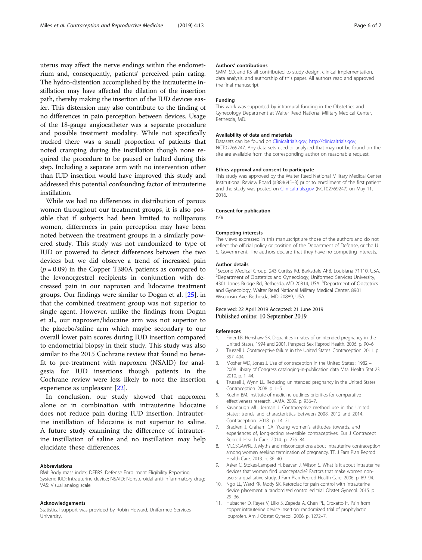<span id="page-5-0"></span>uterus may affect the nerve endings within the endometrium and, consequently, patients' perceived pain rating. The hydro-distention accomplished by the intrauterine instillation may have affected the dilation of the insertion path, thereby making the insertion of the IUD devices easier. This distension may also contribute to the finding of no differences in pain perception between devices. Usage of the 18-gauge angiocatheter was a separate procedure and possible treatment modality. While not specifically tracked there was a small proportion of patients that noted cramping during the instillation though none required the procedure to be paused or halted during this step. Including a separate arm with no intervention other than IUD insertion would have improved this study and addressed this potential confounding factor of intrauterine instillation.

While we had no differences in distribution of parous women throughout our treatment groups, it is also possible that if subjects had been limited to nulliparous women, differences in pain perception may have been noted between the treatment groups in a similarly powered study. This study was not randomized to type of IUD or powered to detect differences between the two devices but we did observe a trend of increased pain  $(p = 0.09)$  in the Copper T380A patients as compared to the levonorgestrel recipients in conjunction with decreased pain in our naproxen and lidocaine treatment groups. Our findings were similar to Dogan et al. [\[25](#page-6-0)], in that the combined treatment group was not superior to single agent. However, unlike the findings from Dogan et al., our naproxen/lidocaine arm was not superior to the placebo/saline arm which maybe secondary to our overall lower pain scores during IUD insertion compared to endometrial biopsy in their study. This study was also similar to the 2015 Cochrane review that found no benefit to pre-treatment with naproxen (NSAID) for analgesia for IUD insertions though patients in the Cochrane review were less likely to note the insertion experience as unpleasant [[22\]](#page-6-0).

In conclusion, our study showed that naproxen alone or in combination with intrauterine lidocaine does not reduce pain during IUD insertion. Intrauterine instillation of lidocaine is not superior to saline. A future study examining the difference of intrauterine instillation of saline and no instillation may help elucidate these differences.

#### Abbreviations

BMI: Body mass index; DEERS: Defense Enrollment Eligibility Reporting System; IUD: Intrauterine device; NSAID: Nonsteroidal anti-inflammatory drug; VAS: Visual analog scale

#### Acknowledgements

Statistical support was provided by Robin Howard, Uniformed Services University.

### Authors' contributions

SMM, SD, and KS all contributed to study design, clinical implementation, data analysis, and authorship of this paper. All authors read and approved the final manuscript.

## Funding

This work was supported by intramural funding in the Obstetrics and Gynecology Department at Walter Reed National Military Medical Center, Bethesda, MD.

## Availability of data and materials

Datasets can be found on [Clinicaltrials.gov,](http://clinicaltrials.gov) [http://clinicaltrials.gov,](http://clinicaltrials.gov) NCT02769247. Any data sets used or analyzed that may not be found on the site are available from the corresponding author on reasonable request.

#### Ethics approval and consent to participate

This study was approved by the Walter Reed National Military Medical Center Institutional Review Board (#384645–3) prior to enrollment of the first patient and the study was posted on [Clinicaltrials.gov](http://clinicaltrials.gov) (NCT02769247) on May 11, 2016.

## Consent for publication

n/a

#### Competing interests

The views expressed in this manuscript are those of the authors and do not reflect the official policy or position of the Department of Defense, or the U. S. Government. The authors declare that they have no competing interests.

#### Author details

<sup>1</sup>Second Medical Group, 243 Curtiss Rd, Barksdale AFB, Louisiana 71110, USA. <sup>2</sup> Department of Obstetrics and Gynecology, Uniformed Services University, 4301 Jones Bridge Rd, Bethesda, MD 20814, USA. <sup>3</sup>Department of Obstetrics and Gynecology, Walter Reed National Military Medical Center, 8901 Wisconsin Ave, Bethesda, MD 20889, USA.

## Received: 22 April 2019 Accepted: 21 June 2019 Published online: 10 September 2019

#### References

- 1. Finer LB, Henshaw SK. Disparities in rates of unintended pregnancy in the United States, 1994 and 2001. Perspect Sex Reprod Health. 2006. p. 90–6.
- 2. Trussell J. Contraceptive failure in the United States. Contraception. 2011. p. 397–404.
- 3. Mosher WD, Jones J. Use of contraception in the United States : 1982 2008 Library of Congress cataloging-in-publication data. Vital Health Stat 23. 2010. p. 1–44.
- 4. Trussell J, Wynn LL. Reducing unintended pregnancy in the United States. Contraception. 2008. p. 1–5.
- 5. Kuehn BM. Institute of medicine outlines priorities for comparative effectiveness research. JAMA. 2009. p. 936–7.
- 6. Kavanaugh ML, Jerman J. Contraceptive method use in the United States: trends and characteristics between 2008, 2012 and 2014. Contraception. 2018. p. 14–21.
- 7. Bracken J, Graham CA. Young women's attitudes towards, and experiences of, long-acting reversible contraceptives. Eur J Contracept Reprod Health Care. 2014. p. 276–84.
- 8. MLCSGAWKL J. Myths and misconceptions about intrauterine contraception among women seeking termination of pregnancy. TT. J Fam Plan Reprod Health Care. 2013. p. 36–40.
- 9. Asker C, Stokes-Lampard H, Beavan J, Wilson S. What is it about intrauterine devices that women find unacceptable? Factors that make women nonusers: a qualitative study. J Fam Plan Reprod Health Care. 2006. p. 89–94.
- 10. Ngo LL, Ward KK, Mody SK. Ketorolac for pain control with intrauterine device placement: a randomized controlled trial. Obstet Gynecol. 2015. p. 29–36.
- 11. Hubacher D, Reyes V, Lillo S, Zepeda A, Chen PL, Croxatto H. Pain from copper intrauterine device insertion: randomized trial of prophylactic ibuprofen. Am J Obstet Gynecol. 2006. p. 1272–7.